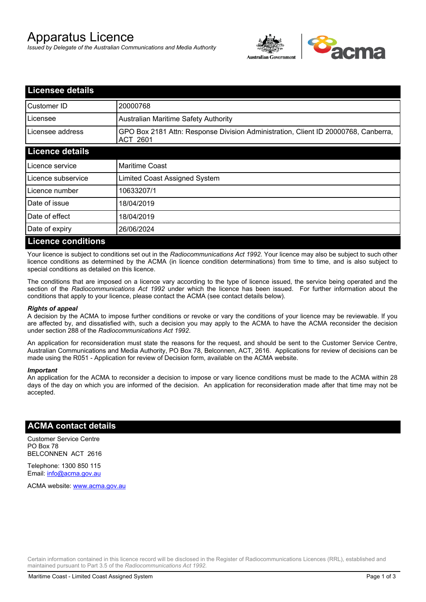# Apparatus Licence

*Issued by Delegate of the Australian Communications and Media Authority*



| <b>Licensee details</b>   |                                                                                                |
|---------------------------|------------------------------------------------------------------------------------------------|
| Customer ID               | 20000768                                                                                       |
| Licensee                  | <b>Australian Maritime Safety Authority</b>                                                    |
| Licensee address          | GPO Box 2181 Attn: Response Division Administration, Client ID 20000768, Canberra,<br>ACT 2601 |
| <b>Licence details</b>    |                                                                                                |
| Licence service           | <b>Maritime Coast</b>                                                                          |
| Licence subservice        | Limited Coast Assigned System                                                                  |
| Licence number            | 10633207/1                                                                                     |
| Date of issue             | 18/04/2019                                                                                     |
| Date of effect            | 18/04/2019                                                                                     |
| Date of expiry            | 26/06/2024                                                                                     |
| <b>Licence conditions</b> |                                                                                                |

Your licence is subject to conditions set out in the *Radiocommunications Act 1992*. Your licence may also be subject to such other licence conditions as determined by the ACMA (in licence condition determinations) from time to time, and is also subject to special conditions as detailed on this licence.

The conditions that are imposed on a licence vary according to the type of licence issued, the service being operated and the section of the *Radiocommunications Act 1992* under which the licence has been issued. For further information about the conditions that apply to your licence, please contact the ACMA (see contact details below).

#### *Rights of appeal*

A decision by the ACMA to impose further conditions or revoke or vary the conditions of your licence may be reviewable. If you are affected by, and dissatisfied with, such a decision you may apply to the ACMA to have the ACMA reconsider the decision under section 288 of the *Radiocommunications Act 1992*.

An application for reconsideration must state the reasons for the request, and should be sent to the Customer Service Centre, Australian Communications and Media Authority, PO Box 78, Belconnen, ACT, 2616. Applications for review of decisions can be made using the R051 - Application for review of Decision form, available on the ACMA website.

#### *Important*

An application for the ACMA to reconsider a decision to impose or vary licence conditions must be made to the ACMA within 28 days of the day on which you are informed of the decision. An application for reconsideration made after that time may not be accepted.

### **ACMA contact details**

Customer Service Centre PO Box 78 BELCONNEN ACT 2616

Telephone: 1300 850 115 Email: info@acma.gov.au

ACMA website: www.acma.gov.au

Certain information contained in this licence record will be disclosed in the Register of Radiocommunications Licences (RRL), established and maintained pursuant to Part 3.5 of the *Radiocommunications Act 1992.*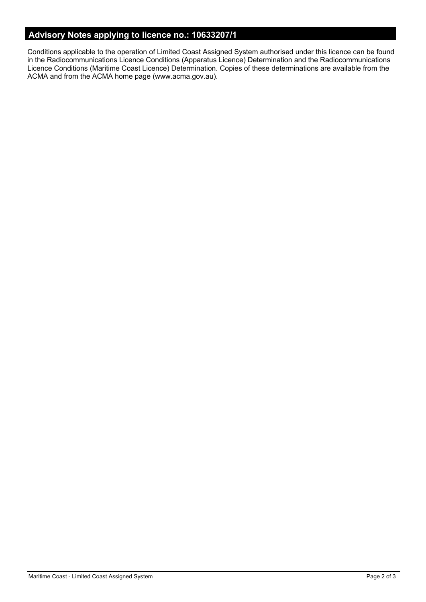# **Advisory Notes applying to licence no.: 10633207/1**

Conditions applicable to the operation of Limited Coast Assigned System authorised under this licence can be found in the Radiocommunications Licence Conditions (Apparatus Licence) Determination and the Radiocommunications Licence Conditions (Maritime Coast Licence) Determination. Copies of these determinations are available from the ACMA and from the ACMA home page (www.acma.gov.au).